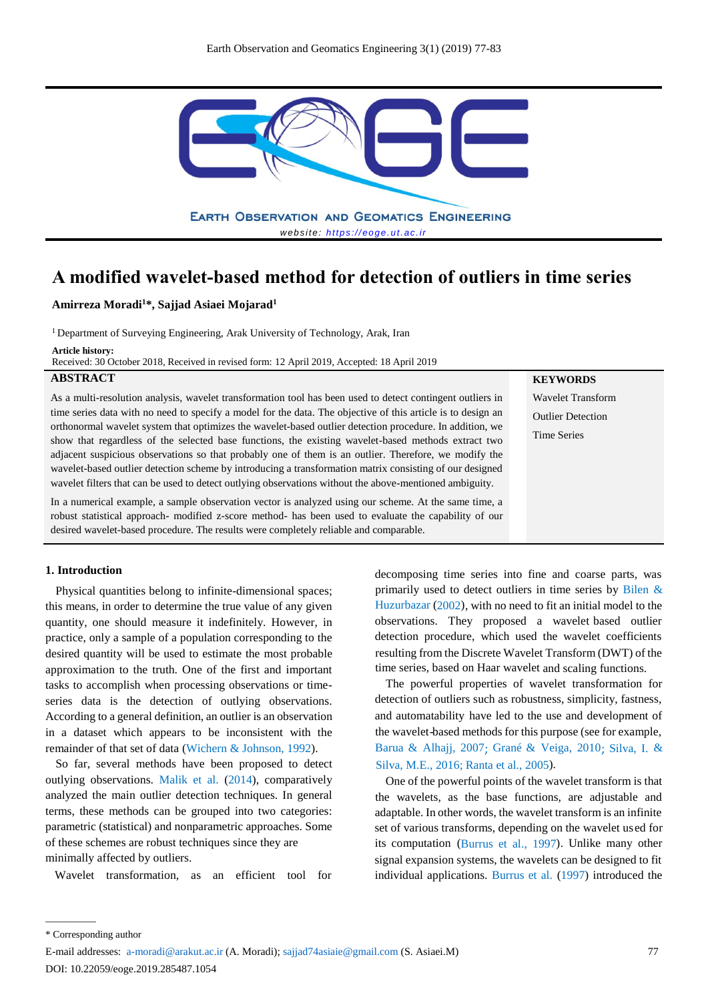

**A modified wavelet-based method for detection of outliers in time series**

**Amirreza Moradi<sup>1</sup>\*, Sajjad Asiaei Mojarad<sup>1</sup>**

<sup>1</sup> Department of Surveying Engineering, Arak University of Technology, Arak, Iran

**Article history:** 

Received: 30 October 2018, Received in revised form: 12 April 2019, Accepted: 18 April 2019

# **ABSTRACT**

As a multi-resolution analysis, wavelet transformation tool has been used to detect contingent outliers in time series data with no need to specify a model for the data. The objective of this article is to design an orthonormal wavelet system that optimizes the wavelet-based outlier detection procedure. In addition, we show that regardless of the selected base functions, the existing wavelet-based methods extract two adjacent suspicious observations so that probably one of them is an outlier. Therefore, we modify the wavelet-based outlier detection scheme by introducing a transformation matrix consisting of our designed wavelet filters that can be used to detect outlying observations without the above-mentioned ambiguity.

In a numerical example, a sample observation vector is analyzed using our scheme. At the same time, a robust statistical approach- modified z-score method- has been used to evaluate the capability of our desired wavelet-based procedure. The results were completely reliable and comparable.

#### **1. Introduction**

Physical quantities belong to infinite-dimensional spaces; this means, in order to determine the true value of any given quantity, one should measure it indefinitely. However, in practice, only a sample of a population corresponding to the desired quantity will be used to estimate the most probable approximation to the truth. One of the first and important tasks to accomplish when processing observations or timeseries data is the detection of outlying observations. According to a general definition, an outlier is an observation in a dataset which appears to be inconsistent with the remainder of that set of data (Wichern & Johnson, 1992).

So far, several methods have been proposed to detect outlying observations. Malik et al. (2014), comparatively analyzed the main outlier detection techniques. In general terms, these methods can be grouped into two categories: parametric (statistical) and nonparametric approaches. Some of these schemes are robust techniques since they are minimally affected by outliers.

Wavelet transformation, as an efficient tool for

decomposing time series into fine and coarse parts, was primarily used to detect outliers in time series by Bilen & Huzurbazar (2002), with no need to fit an initial model to the observations. They proposed a wavelet-based outlier detection procedure, which used the wavelet coefficients resulting from the Discrete Wavelet Transform (DWT) of the time series, based on Haar wavelet and scaling functions.

**KEYWORDS** Wavelet Transform Outlier Detection Time Series

The powerful properties of wavelet transformation for detection of outliers such as robustness, simplicity, fastness, and automatability have led to the use and development of the wavelet-based methods for this purpose (see for example, Barua & Alhajj, 2007; Grané & Veiga, 2010; Silva, I. & [Silva, M.E., 2016; Rant](#page-6-0)a et al., 2005).

One of the powerful points of the wavelet transform is that the wavelets, as the base functions, are adjustable and adaptable. In other words, the wavelet transform is an infinite set of various transforms, depending on the wavelet used for its computation (Burrus et al., 1997). Unlike many other signal expansion systems, the wavelets can be designed to fit individual applications. Burrus et al. (1997) introduced the

 $\overline{\phantom{a}}$  . The contract of the contract of the contract of the contract of the contract of the contract of the contract of the contract of the contract of the contract of the contract of the contract of the contract of

E-mail addresses: a-moradi@arakut.ac.ir (A. Moradi); sajjad74asiaie@gmail.com (S. Asiaei.M) DOI: 10.22059/eoge.2019.285487.1054

<sup>\*</sup> Corresponding author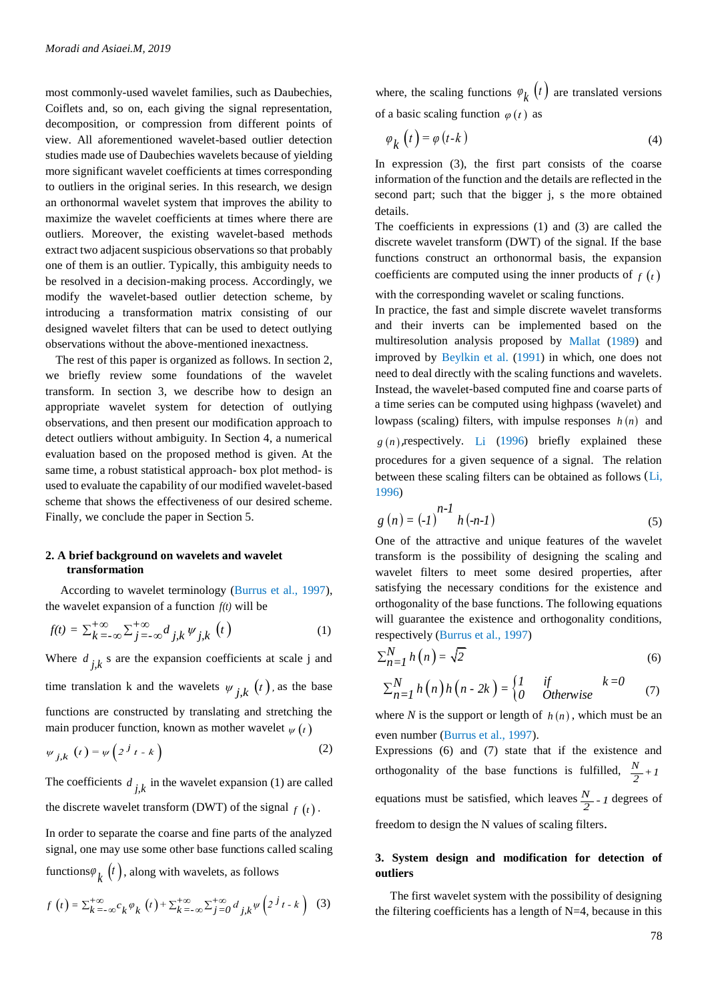most commonly-used wavelet families, such as Daubechies, Coiflets and, so on, each giving the signal representation, decomposition, or compression from different points of view. All aforementioned wavelet-based outlier detection studies made use of Daubechies wavelets because of yielding more significant wavelet coefficients at times corresponding to outliers in the original series. In this research, we design an orthonormal wavelet system that improves the ability to maximize the wavelet coefficients at times where there are outliers. Moreover, the existing wavelet-based methods extract two adjacent suspicious observations so that probably one of them is an outlier. Typically, this ambiguity needs to be resolved in a decision-making process. Accordingly, we modify the wavelet-based outlier detection scheme, by introducing a transformation matrix consisting of our designed wavelet filters that can be used to detect outlying observations without the above-mentioned inexactness.

The rest of this paper is organized as follows. In section 2, we briefly review some foundations of the wavelet transform. In section 3, we describe how to design an appropriate wavelet system for detection of outlying observations, and then present our modification approach to detect outliers without ambiguity. In Section 4, a numerical evaluation based on the proposed method is given. At the same time, a robust statistical approach- box plot method- is used to evaluate the capability of our modified wavelet-based scheme that shows the effectiveness of our desired scheme. Finally, we conclude the paper in Section 5.

#### **2. A brief background on wavelets and wavelet transformation**

According to wavelet terminology (Burrus et al., 1997),

the wavelet expansion of a function 
$$
f(t)
$$
 will be  
\n
$$
f(t) = \sum_{k=-\infty}^{+\infty} \sum_{j=-\infty}^{+\infty} d_{j,k} \psi_{j,k} (t)
$$
\n(1)

Where  $d_{j,k}$  s are the expansion coefficients at scale j and time translation k and the wavelets  $\psi_{j,k}(t)$ , as the base functions are constructed by translating and stretching the main producer function, known as mother wavelet  $\psi(t)$ 

$$
\psi_{j,k}\left(t\right) = \psi\left(2^{j}t - k\right) \tag{2}
$$

The coefficients  $d_{j,k}$  in the wavelet expansion (1) are called the discrete wavelet transform (DWT) of the signal  $f(t)$ .

In order to separate the coarse and fine parts of the analyzed signal, one may use some other base functions called scaling

functions
$$
\varphi_k
$$
  $(t)$ , along with wavelets, as follows  
\n
$$
f(t) = \sum_{k=-\infty}^{+\infty} c_k \varphi_k(t) + \sum_{k=-\infty}^{+\infty} \sum_{j=0}^{+\infty} d_{j,k} \psi\left(2^{j} t - k\right)
$$
 (3)

where, the scaling functions  $\varphi_k(t)$  are translated versions of a basic scaling function  $\varphi(t)$  as

$$
\varphi_k(t) = \varphi(t-k) \tag{4}
$$

In expression (3), the first part consists of the coarse information of the function and the details are reflected in the second part; such that the bigger j, s the more obtained details.

The coefficients in expressions (1) and (3) are called the discrete wavelet transform (DWT) of the signal. If the base functions construct an orthonormal basis, the expansion coefficients are computed using the inner products of  $f(t)$ 

with the corresponding wavelet or scaling functions.

In practice, the fast and simple discrete wavelet transforms and their inverts can be implemented based on the multiresolution analysis proposed by Mallat (1989) and improved by Beylkin et al. (1991) in which, one does not need to deal directly with the scaling functions and wavelets. Instead, the wavelet-based computed fine and coarse parts of a time series can be computed using highpass (wavelet) and lowpass (scaling) filters, with impulse responses  $h(n)$  and  $g(n)$ , respectively. Li (1996) briefly explained these procedures for a given sequence of a signal. The relation between these scaling filters can be obtained as follows (Li, 1996)

$$
g(n) = (-1)^{n-1} h(-n-1)
$$
 (5)

One of the attractive and unique features of the wavelet transform is the possibility of designing the scaling and wavelet filters to meet some desired properties, after satisfying the necessary conditions for the existence and orthogonality of the base functions. The following equations will guarantee the existence and orthogonality conditions, respectively (Burrus et al., 1997)

$$
\sum_{n=1}^{N} h(n) = \sqrt{2} \tag{6}
$$

$$
\sum_{n=1}^{N} h(n) = \sqrt{2}
$$
\n
$$
\sum_{n=1}^{N} h(n)h(n-2k) = \begin{cases} l & \text{if} \\ 0 & \text{Otherwise} \end{cases}
$$
\n(6)

where *N* is the support or length of  $h(n)$ , which must be an even number (Burrus et al., 1997).

Expressions (6) and (7) state that if the existence and orthogonality of the base functions is fulfilled,  $\frac{N}{2} + 1$ equations must be satisfied, which leaves  $\frac{N}{2}$ -1 degrees of freedom to design the N values of scaling filters.

# **3. System design and modification for detection of outliers**

 The first wavelet system with the possibility of designing the filtering coefficients has a length of  $N=4$ , because in this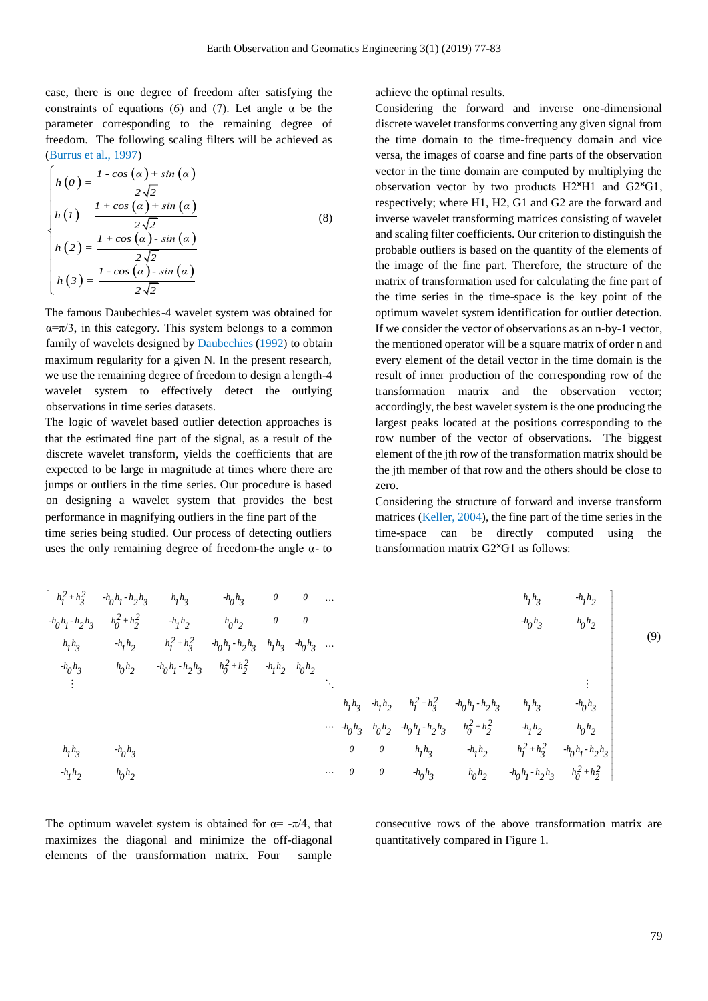case, there is one degree of freedom after satisfying the constraints of equations (6) and (7). Let angle  $\alpha$  be the parameter corresponding to the remaining degree of freedom. The following scaling filters will be achieved as (Burrus et al., 1997)

$$
\begin{cases}\nh(0) = \frac{1 - \cos(\alpha) + \sin(\alpha)}{2\sqrt{2}} \\
h(1) = \frac{1 + \cos(\alpha) + \sin(\alpha)}{2\sqrt{2}} \\
h(2) = \frac{1 + \cos(\alpha) - \sin(\alpha)}{2\sqrt{2}} \\
h(3) = \frac{1 - \cos(\alpha) - \sin(\alpha)}{2\sqrt{2}}\n\end{cases}
$$
\n(8)

The famous Daubechies-4 wavelet system was obtained for  $\alpha = \pi/3$ , in this category. This system belongs to a common family of wavelets designed by Daubechies (1992) to obtain maximum regularity for a given N. In the present research, we use the remaining degree of freedom to design a length-4 wavelet system to effectively detect the outlying observations in time series datasets.

The logic of wavelet based outlier detection approaches is that the estimated fine part of the signal, as a result of the discrete wavelet transform, yields the coefficients that are expected to be large in magnitude at times where there are jumps or outliers in the time series. Our procedure is based on designing a wavelet system that provides the best performance in magnifying outliers in the fine part of the time series being studied. Our process of detecting outliers uses the only remaining degree of freedom-the angle  $\alpha$ - to

achieve the optimal results.

Considering the forward and inverse one-dimensional discrete wavelet transforms converting any given signal from the time domain to the time-frequency domain and vice versa, the images of coarse and fine parts of the observation vector in the time domain are computed by multiplying the observation vector by two products  $H2*H1$  and  $G2*G1$ , respectively; where H1, H2, G1 and G2 are the forward and inverse wavelet transforming matrices consisting of wavelet and scaling filter coefficients. Our criterion to distinguish the probable outliers is based on the quantity of the elements of the image of the fine part. Therefore, the structure of the matrix of transformation used for calculating the fine part of the time series in the time-space is the key point of the optimum wavelet system identification for outlier detection. If we consider the vector of observations as an n-by-1 vector, the mentioned operator will be a square matrix of order n and every element of the detail vector in the time domain is the result of inner production of the corresponding row of the transformation matrix and the observation vector; accordingly, the best wavelet system is the one producing the largest peaks located at the positions corresponding to the row number of the vector of observations. The biggest element of the jth row of the transformation matrix should be the jth member of that row and the others should be close to zero.

Considering the structure of forward and inverse transform matrices (Keller, 2004), the fine part of the time series in the time-space can be directly computed using the transformation matrix G2<sup>x</sup>G1 as follows:

Hence series being studied. Our process of detecting outliers uses the only remaining degree of freedom-the angle α-to-  
\nuses the only remaining degree of freedom-the angle α-to-  
\n
$$
\begin{bmatrix}\nh_1^2 + h_3^2 & h_0h_1 - h_2h_3 & h_1h_3 & h_0h_3 & 0 & 0 & ... & h_1h_3 & h_1h_2 \\
h_0h_1 - h_2h_3 & h_0^2 + h_2^2 & h_1h_2 & h_0h_2 & 0 & 0 & ... & h_1h_3 & h_0h_2 \\
h_1h_3 & h_0h_2 & h_0^2 + h_1^2 & h_0^2 + h_2^2 & h_1h_2 & h_0^2 + h_2^2 & -h_1h_2 & h_0^2 + h_2^2 & -h_1h_2 & h_0^2 + h_2^2 & -h_1h_2 & h_0^2 + h_2^2 & -h_1h_2 & h_0^2 + h_2^2 & -h_1h_2 & h_0^2 + h_2^2 & -h_1h_2 & h_0^2 + h_2^2 & -h_1h_2 & h_0^2 + h_2^2 & -h_1h_2 & h_0^2 + h_2^2 & -h_1h_2 & h_0^2 + h_2^2 & -h_1h_2 & h_0^2 + h_2^2 & -h_1h_2 & h_0^2 + h_2^2 & -h_1h_2 & h_0^2 + h_2^2 & -h_1h_2 & h_0^2 + h_2^2 & -h_1h_2 & h_0^2 + h_2^2 & -h_1h_2 & h_0^2 + h_2^2 & -h_1h_2 & h_0^2 + h_2^2 & -h_1h_2 & h_0^2 + h_2^2 & -h_1h_2 & h_0^2 + h_2^2 & -h_1h_2 & h_0^2 + h_2^2 & -h_0^2 + h_1^2 & -h_0^2 + h_1^2 & -h_0^2 + h_1^2 & -h_0^2 + h_1^2 & -h_0^2 + h_1^2 & -h_0^2 + h_1^2 & -h_0^2 + h_1^2 & -h_0^2 + h_1^2 & -h_0^2 + h_1^2 & -h_0^2 + h_1^2 & -h_0^2 + h_1^2 & -h_0^2
$$

The optimum wavelet system is obtained for  $\alpha = -\pi/4$ , that maximizes the diagonal and minimize the off-diagonal elements of the transformation matrix. Four sample

consecutive rows of the above transformation matrix are quantitatively compared in Figure 1.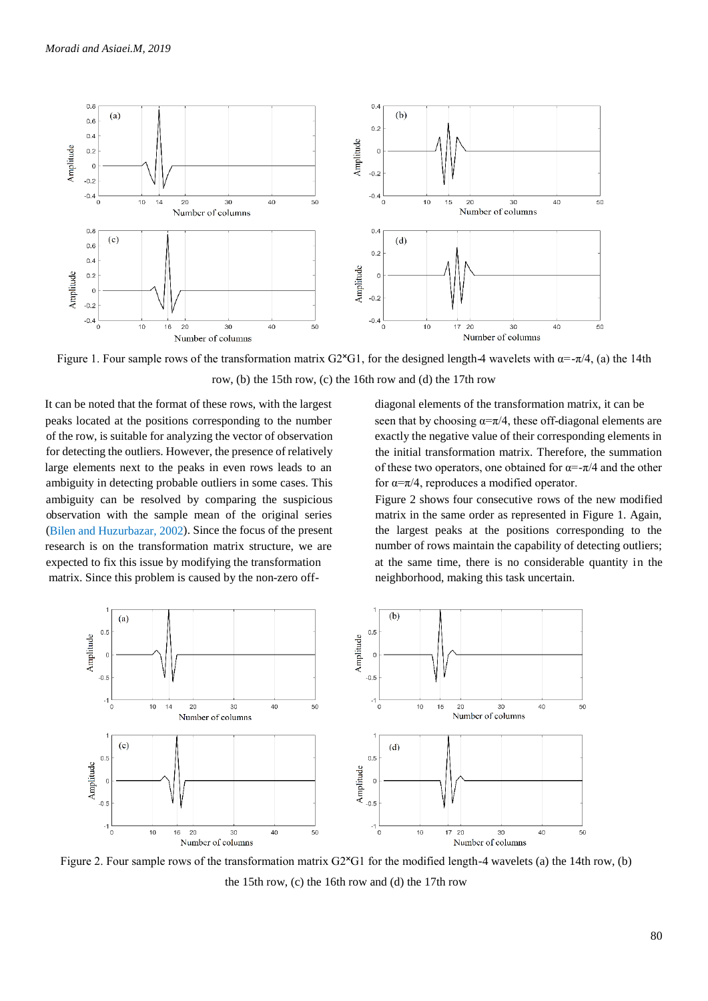

Figure 1. Four sample rows of the transformation matrix G2<sup>x</sup>G1, for the designed length-4 wavelets with  $\alpha = -\pi/4$ , (a) the 14th row, (b) the 15th row, (c) the 16th row and (d) the 17th row

It can be noted that the format of these rows, with the largest peaks located at the positions corresponding to the number of the row, is suitable for analyzing the vector of observation for detecting the outliers. However, the presence of relatively large elements next to the peaks in even rows leads to an ambiguity in detecting probable outliers in some cases. This ambiguity can be resolved by comparing the suspicious observation with the sample mean of the original series (Bilen and Huzurbazar, 2002). Since the focus of the present research is on the transformation matrix structure, we are expected to fix this issue by modifying the transformation matrix. Since this problem is caused by the non-zero off-

diagonal elements of the transformation matrix, it can be seen that by choosing  $\alpha = \pi/4$ , these off-diagonal elements are exactly the negative value of their corresponding elements in the initial transformation matrix. Therefore, the summation of these two operators, one obtained for  $\alpha = -\pi/4$  and the other for  $\alpha = \pi/4$ , reproduces a modified operator.

Figure 2 shows four consecutive rows of the new modified matrix in the same order as represented in Figure 1. Again, the largest peaks at the positions corresponding to the number of rows maintain the capability of detecting outliers; at the same time, there is no considerable quantity in the neighborhood, making this task uncertain.



Figure 2. Four sample rows of the transformation matrix  $G2^{\times}G1$  for the modified length-4 wavelets (a) the 14th row, (b) the 15th row, (c) the 16th row and (d) the 17th row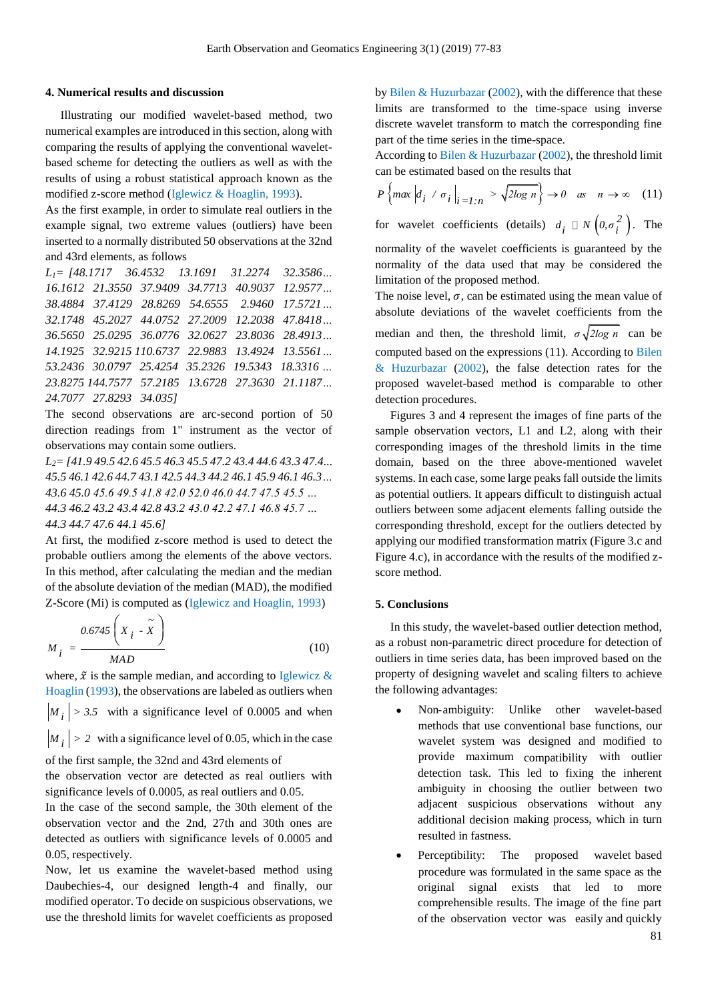#### **4. Numerical results and discussion**

 Illustrating our modified wavelet-based method, two numerical examples are introduced in this section, along with comparing the results of applying the conventional waveletbased scheme for detecting the outliers as well as with the results of using a robust statistical approach known as the modified z-score method (Iglewicz & Hoaglin, 1993).

As the first example, in order to simulate real outliers in the example signal, two extreme values (outliers) have been inserted to a normally distributed 50 observations at the 32nd and 43rd elements, as follows

*L1= [48.1717 36.4532 13.1691 31.2274 32.3586… 16.1612 21.3550 37.9409 34.7713 40.9037 12.9577… 38.4884 37.4129 28.8269 54.6555 2.9460 17.5721… 32.1748 45.2027 44.0752 27.2009 12.2038 47.8418… 36.5650 25.0295 36.0776 32.0627 23.8036 28.4913… 14.1925 32.9215 110.6737 22.9883 13.4924 13.5561… 53.2436 30.0797 25.4254 35.2326 19.5343 18.3316 … 23.8275 144.7577 57.2185 13.6728 27.3630 21.1187… 24.7077 27.8293 34.035]*

The second observations are arc-second portion of 50 direction readings from 1" instrument as the vector of observations may contain some outliers.

*L2= [41.9 49.5 42.6 45.5 46.3 45.5 47.2 43.4 44.6 43.3 47.4... 45.5 46.1 42.6 44.7 43.1 42.5 44.3 44.2 46.1 45.9 46.1 46.3… 43.6 45.0 45.6 49.5 41.8 42.0 52.0 46.0 44.7 47.5 45.5 … 44.3 46.2 43.2 43.4 42.8 43.2 43.0 42.2 47.1 46.8 45.7 … 44.3 44.7 47.6 44.1 45.6]*

At first, the modified z-score method is used to detect the probable outliers among the elements of the above vectors. In this method, after calculating the median and the median of the absolute deviation of the median (MAD), the modified Z-Score (Mi) is computed as (Iglewicz and Hoaglin, 1993)

$$
M_{i} = \frac{0.6745 \left( X_{i} - \tilde{X} \right)}{MAD}
$$
 (10)

where,  $\tilde{x}$  is the sample median, and according to Iglewicz & Hoaglin (1993), the observations are labeled as outliers when

 $M_i$  > 3.5 with a significance level of 0.0005 and when

 $M_i$  > 2 with a significance level of 0.05, which in the case

of the first sample, the 32nd and 43rd elements of

the observation vector are detected as real outliers with significance levels of 0.0005, as real outliers and 0.05.

In the case of the second sample, the 30th element of the observation vector and the 2nd, 27th and 30th ones are detected as outliers with significance levels of 0.0005 and 0.05, respectively.

Now, let us examine the wavelet-based method using Daubechies-4, our designed length-4 and finally, our modified operator. To decide on suspicious observations, we use the threshold limits for wavelet coefficients as proposed

by Bilen & Huzurbazar (2002), with the difference that these limits are transformed to the time-space using inverse discrete wavelet transform to match the corresponding fine part of the time series in the time-space.

According to Bilen & Huzurbazar (2002), the threshold limit can be estimated based on the results that

can be estimated based on the results that  

$$
P\left\{\max \left|d_i \neq \sigma_i\right|\right|_{i=1:n} > \sqrt{2\log n} \right\} \to 0 \quad \text{as} \quad n \to \infty \quad (11)
$$

for wavelet coefficients (details)  $d_i \square N\left(0, \sigma_i^2\right)$ . The

normality of the wavelet coefficients is guaranteed by the normality of the data used that may be considered the limitation of the proposed method.

The noise level,  $\sigma$ , can be estimated using the mean value of absolute deviations of the wavelet coefficients from the median and then, the threshold limit,  $\sigma \sqrt{2 \log n}$  can be computed based on the expressions (11). According to Bilen & Huzurbazar (2002), the false detection rates for the proposed wavelet-based method is comparable to other detection procedures.

 Figures 3 and 4 represent the images of fine parts of the sample observation vectors, L1 and L2, along with their corresponding images of the threshold limits in the time domain, based on the three above-mentioned wavelet systems. In each case, some large peaks fall outside the limits as potential outliers. It appears difficult to distinguish actual outliers between some adjacent elements falling outside the corresponding threshold, except for the outliers detected by applying our modified transformation matrix (Figure 3.c and Figure 4.c), in accordance with the results of the modified zscore method.

### **5. Conclusions**

 In this study, the wavelet-based outlier detection method, as a robust non-parametric direct procedure for detection of outliers in time series data, has been improved based on the property of designing wavelet and scaling filters to achieve the following advantages:

- Non-ambiguity: Unlike other wavelet-based methods that use conventional base functions, our wavelet system was designed and modified to provide maximum compatibility with outlier detection task. This led to fixing the inherent ambiguity in choosing the outlier between two adjacent suspicious observations without any additional decision making process, which in turn resulted in fastness.
- Perceptibility: The proposed wavelet-based procedure was formulated in the same space as the original signal exists that led to more comprehensible results. The image of the fine part of the observation vector was easily and quickly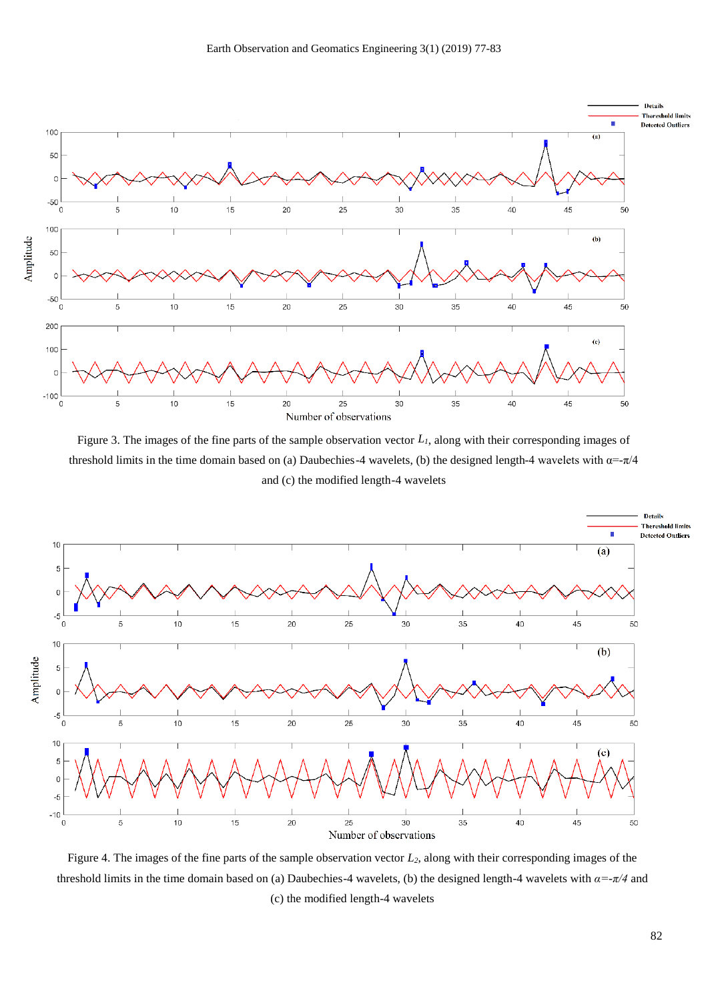

Figure 3. The images of the fine parts of the sample observation vector *L1*, along with their corresponding images of threshold limits in the time domain based on (a) Daubechies-4 wavelets, (b) the designed length-4 wavelets with  $\alpha = -\pi/4$ and (c) the modified length-4 wavelets



Figure 4. The images of the fine parts of the sample observation vector *L2*, along with their corresponding images of the threshold limits in the time domain based on (a) Daubechies-4 wavelets, (b) the designed length-4 wavelets with *α=-π/4* and (c) the modified length-4 wavelets